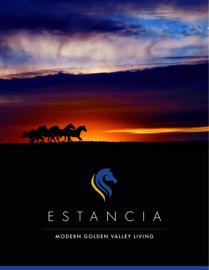

# ESTANCIA

MODERN GOLDEN VALLEY LIVING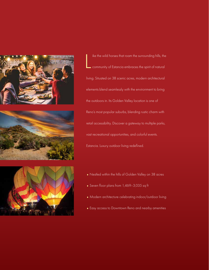

L ike the wild horses that roam the surrounding hills, the community of Estancia embraces the spirit of natural living. Situated on 38 scenic acres, modern architectural elements blend seamlessly with the environment to bring the outdoors in. Its Golden Valley location is one of Reno's most popular suburbs, blending rustic charm with retail accessibility. Discover a gateway to multiple parks, vast recreational opportunities, and colorful events. Estancia. Luxury outdoor living redefined.

- ♦ Nestled within the hills of Golden Valley on 38 acres
- ♦ Seven floor plans from 1,469–3,035 sq ft
- ♦ Modern architecture celebrating indoor/outdoor living
- ♦ Easy access to Downtown Reno and nearby amenities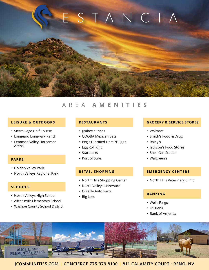# ESTANCI

## AREA **AMENITIES**

#### **LEISURE & OUTDOORS**

- Sierra Sage Golf Course
- Longeard Longwalk Ranch
- Lemmon Valley Horseman Arena

- Golden Valley Park
- North Valleys Regional Park

#### **SCHOOLS**

- North Valleys High School
- Alice Smith Elementary School
- Washoe County School District

#### **RESTAURANTS**

- Jimboy's Tacos
- QDOBA Mexican Eats
- Peg's Glorified Ham N' Eggs
- Egg Roll King
- Starbucks
- Port of Subs **PARKS** • Port of Subs • Port of Subs • Walgreen's

#### **RETAIL SHOPPING**

- North Hills Shopping Center
- North Valleys Hardware
- O'Reilly Auto Parts
- Big Lots

#### **GROCERY & SERVICE STORES**

- Walmart
- Smith's Food & Drug
- Raley's
- Jackson's Food Stores
- Shell Gas Station
- 

#### **EMERGENCY CENTERS**

• North Hills Veterinary Clinic

#### **BANKING**

- Wells Fargo
- US Bank
- Bank of America

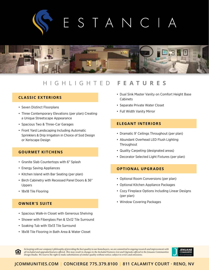# $\overline{N}$ S T A



### HIGHLIGHTED **FEATURES**

#### **CLASSIC EXTERIORS**

- Seven Distinct Floorplans
- Three Contemporary Elevations (per plan) Creating a Unique Streetscape Appearance
- Spacious Two & Three-Car Garages
- Front Yard Landscaping Including Automatic Sprinklers & Drip Irrigation in Choice of Sod Design or Xeriscape Design

#### **GOURMET KITCHENS**

- Granite Slab Countertops with 6" Splash
- Energy Saving Appliances
- Kitchen Island with Bar Seating (per plan)
- Birch Cabinetry with Recessed Panel Doors & 36" Uppers
- 18x18 Tile Flooring

#### **OWNER'S SUITE**

- Spacious Walk-in Closet with Generous Shelving
- Shower with Fiberglass Pan & 12x12 Tile Surround
- Soaking Tub with 13x13 Tile Surround
- 18x18 Tile Flooring in Bath Area & Water Closet
- Dual Sink Master Vanity on Comfort Height Base Cabinets
- Separate Private Water Closet
- Full Width Vanity Mirror

#### **ELEGANT INTERIORS**

- Dramatic 9' Ceilings Throughout (per plan)
- Abundant Overhead LED Flush Lighting Throughout
- Quality Carpeting (designated areas)
- Decorator Selected Light Fixtures (per plan)

#### **OPTIONAL UPGRADES**

- Optional Room Conversions (per plan)
- Optional Kitchen Appliance Packages
- Cozy Fireplace Options Including Linear Designs (per plan)
- Window Covering Packages



In keeping with our company's philosophy of providing the best quality to our homebuyers, we are committed to ongoing research and improvement with all included and upgraded features offered. This may result in changes to the Included Features List and Upgrades offered in the Jenuane Communities Design Studio. We reserve the right to make substitutions of similar quality without notice; subject to errors and omissions.